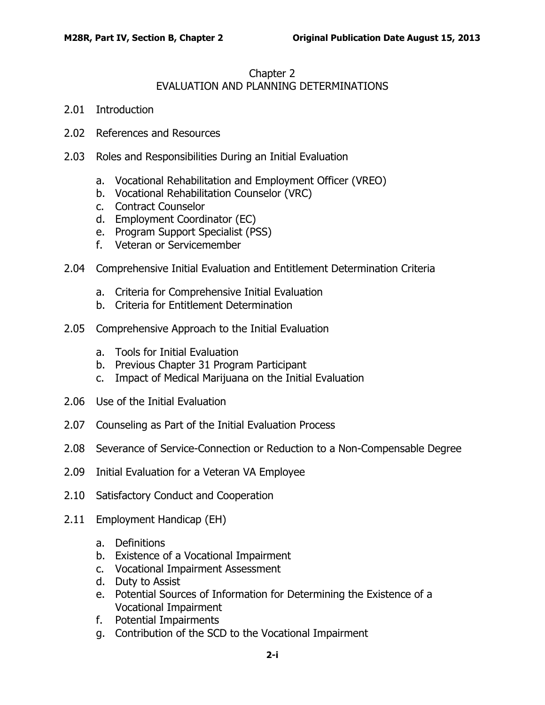## Chapter 2 EVALUATION AND PLANNING DETERMINATIONS

- 2.01 [Introduction](#page-2-0)
- 2.02 [References and Resources](#page-2-1)
- 2.03 [Roles and Responsibilities During an Initial Evaluation](#page-3-0)
	- a. [Vocational Rehabilitation and Employment Officer \(VREO\)](#page-3-1)
	- b. [Vocational Rehabilitation Counselor \(VRC\)](#page-3-2)
	- c. [Contract Counselor](#page-4-0)
	- d. [Employment Coordinator \(EC\)](#page-4-1)
	- e. [Program Support Specialist \(PSS\)](#page-4-2)
	- f. [Veteran or Servicemember](#page-5-0)
- 2.04 [Comprehensive Initial Evaluation and Entitlement Determination Criteria](#page-5-1)
	- a. [Criteria for Comprehensive Initial Evaluation](#page-5-2)
	- b. [Criteria for Entitlement Determination](#page-7-0)
- 2.05 [Comprehensive Approach to the Initial Evaluation](#page-8-0)
	- a. [Tools for Initial Evaluation](#page-8-1)
	- b. [Previous Chapter 31 Program Participant](#page-8-2)
	- c. [Impact of Medical Marijuana on the Initial Evaluation](#page-9-0)
- 2.06 [Use of the Initial Evaluation](#page-9-1)
- 2.07 [Counseling as Part of the Initial Evaluation Process](#page-10-0)
- 2.08 [Severance of Service-Connection or Reduction to a Non-Compensable Degree](#page-10-1)
- 2.09 [Initial Evaluation for a Veteran VA Employee](#page-10-2)
- 2.10 [Satisfactory Conduct and Cooperation](#page-11-0)
- 2.11 [Employment Handicap \(EH\)](#page-12-0)
	- a. [Definitions](#page-12-1)
	- b. [Existence of a Vocational Impairment](#page-13-0)
	- c. [Vocational Impairment Assessment](#page-13-1)
	- d. [Duty to Assist](#page-14-0)
	- e. [Potential Sources of Information for Determining the Existence of a](#page-14-1)  [Vocational Impairment](#page-14-1)
	- f. [Potential Impairments](#page-14-2)
	- g. [Contribution of the SCD to the Vocational Impairment](#page-15-0)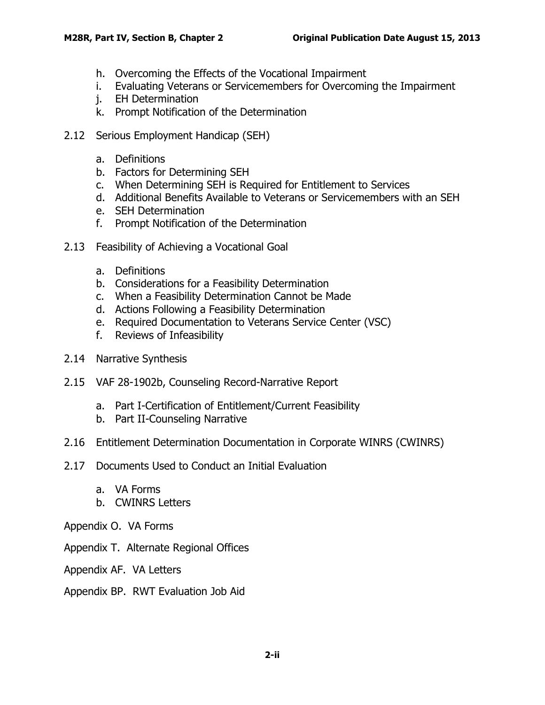- h. [Overcoming the Effects of the Vocational Impairment](#page-15-1)
- i. [Evaluating Veterans or Servicemembers for Overcoming the Impairment](#page-16-0)
- j. [EH Determination](#page-16-1)
- k. [Prompt Notification of the Determination](#page-16-2)
- 2.12 [Serious Employment Handicap \(SEH\)](#page-17-0)
	- a. [Definitions](#page-17-1)
	- b. [Factors for Determining SEH](#page-17-2)
	- c. [When Determining SEH is Required for Entitlement to Services](#page-18-0)
	- d. [Additional Benefits Available to Veterans or Servicemembers with an SEH](#page-18-1)
	- e. [SEH Determination](#page-18-2)
	- f. [Prompt Notification of the Determination](#page-19-0)
- 2.13 [Feasibility of Achieving a Vocational Goal](#page-19-1)
	- a. [Definitions](#page-19-2)
	- b. [Considerations for a Feasibility Determination](#page-20-0)
	- c. [When a Feasibility Determination Cannot be Made](#page-21-0)
	- d. [Actions Following a Feasibility Determination](#page-21-1)
	- e. [Required Documentation to Veterans Service Center \(VSC\)](#page-22-0)
	- f. [Reviews of Infeasibility](#page-22-1)
- 2.14 [Narrative Synthesis](#page-22-2)
- 2.15 [VAF 28-1902b, Counseling Record-Narrative Report](#page-23-0)
	- a. [Part I-Certification of Entitlement/Current Feasibility](#page-23-1)
	- b. [Part II-Counseling Narrative](#page-24-0)
- 2.16 [Entitlement Determination Documentation in Corporate WINRS \(CWINRS\)](#page-30-0)
- 2.17 [Documents Used to Conduct an Initial Evaluation](#page-30-1)
	- a. [VA Forms](#page-31-0)
	- b. [CWINRS Letters](#page-32-0)
- Appendix O. VA Forms
- Appendix T. Alternate Regional Offices
- Appendix AF. VA Letters
- Appendix BP. RWT Evaluation Job Aid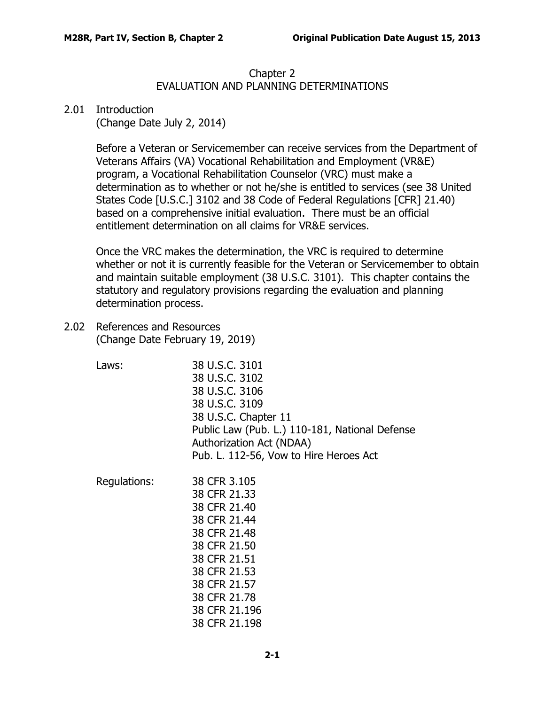## Chapter 2 EVALUATION AND PLANNING DETERMINATIONS

## <span id="page-2-0"></span>2.01 Introduction

(Change Date July 2, 2014)

Before a Veteran or Servicemember can receive services from the Department of Veterans Affairs (VA) Vocational Rehabilitation and Employment (VR&E) program, a Vocational Rehabilitation Counselor (VRC) must make a determination as to whether or not he/she is entitled to services (see 38 United States Code [U.S.C.] 3102 and 38 Code of Federal Regulations [CFR] 21.40) based on a comprehensive initial evaluation. There must be an official entitlement determination on all claims for VR&E services.

Once the VRC makes the determination, the VRC is required to determine whether or not it is currently feasible for the Veteran or Servicemember to obtain and maintain suitable employment (38 U.S.C. 3101). This chapter contains the statutory and regulatory provisions regarding the evaluation and planning determination process.

- <span id="page-2-1"></span>2.02 References and Resources (Change Date February 19, 2019)
	- Laws: 38 U.S.C. 3101 38 U.S.C. 3102 38 U.S.C. 3106 38 U.S.C. 3109 38 U.S.C. Chapter 11 Public Law (Pub. L.) 110-181, National Defense Authorization Act (NDAA) Pub. L. 112-56, Vow to Hire Heroes Act

Regulations: 38 CFR 3.105 38 CFR 21.33 38 CFR 21.40 38 CFR 21.44 38 CFR 21.48 38 CFR 21.50 38 CFR 21.51 38 CFR 21.53 38 CFR 21.57 38 CFR 21.78 38 CFR 21.196 38 CFR 21.198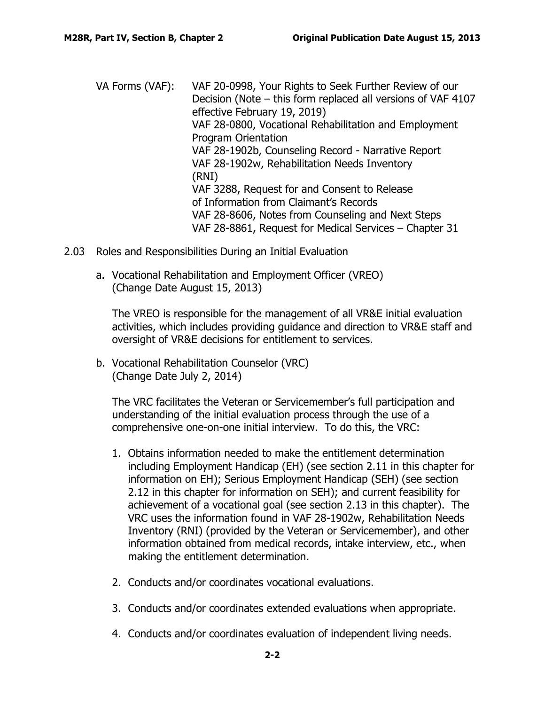- VA Forms (VAF): VAF 20-0998, Your Rights to Seek Further Review of our Decision (Note – this form replaced all versions of VAF 4107 effective February 19, 2019) VAF 28-0800, Vocational Rehabilitation and Employment Program Orientation VAF 28-1902b, Counseling Record - Narrative Report VAF 28-1902w, Rehabilitation Needs Inventory (RNI) VAF 3288, Request for and Consent to Release of Information from Claimant's Records VAF 28-8606, Notes from Counseling and Next Steps VAF 28-8861, Request for Medical Services – Chapter 31
- <span id="page-3-1"></span><span id="page-3-0"></span>2.03 Roles and Responsibilities During an Initial Evaluation
	- a. Vocational Rehabilitation and Employment Officer (VREO) (Change Date August 15, 2013)

The VREO is responsible for the management of all VR&E initial evaluation activities, which includes providing guidance and direction to VR&E staff and oversight of VR&E decisions for entitlement to services.

<span id="page-3-2"></span>b. Vocational Rehabilitation Counselor (VRC) (Change Date July 2, 2014)

The VRC facilitates the Veteran or Servicemember's full participation and understanding of the initial evaluation process through the use of a comprehensive one-on-one initial interview. To do this, the VRC:

- 1. Obtains information needed to make the entitlement determination including Employment Handicap (EH) (see section 2.11 in this chapter for information on EH); Serious Employment Handicap (SEH) (see section 2.12 in this chapter for information on SEH); and current feasibility for achievement of a vocational goal (see section 2.13 in this chapter). The VRC uses the information found in VAF 28-1902w, Rehabilitation Needs Inventory (RNI) (provided by the Veteran or Servicemember), and other information obtained from medical records, intake interview, etc., when making the entitlement determination.
- 2. Conducts and/or coordinates vocational evaluations.
- 3. Conducts and/or coordinates extended evaluations when appropriate.
- 4. Conducts and/or coordinates evaluation of independent living needs.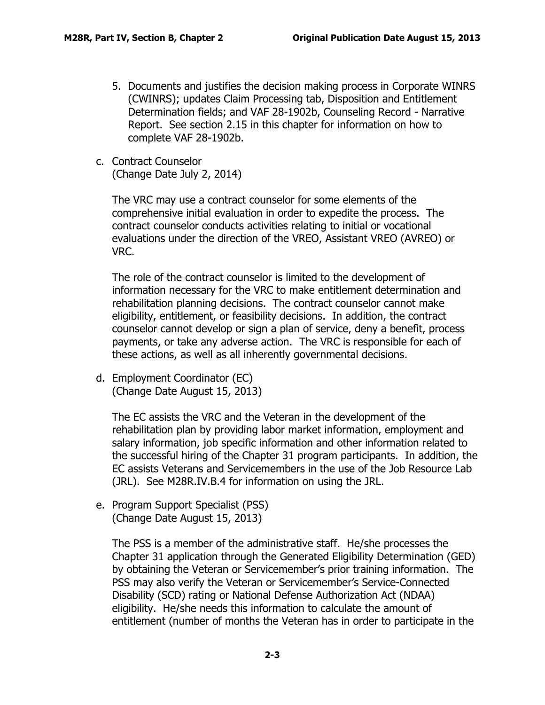- 5. Documents and justifies the decision making process in Corporate WINRS (CWINRS); updates Claim Processing tab, Disposition and Entitlement Determination fields; and VAF 28-1902b, Counseling Record - Narrative Report. See section 2.15 in this chapter for information on how to complete VAF 28-1902b.
- <span id="page-4-0"></span>c. Contract Counselor

(Change Date July 2, 2014)

The VRC may use a contract counselor for some elements of the comprehensive initial evaluation in order to expedite the process. The contract counselor conducts activities relating to initial or vocational evaluations under the direction of the VREO, Assistant VREO (AVREO) or VRC.

The role of the contract counselor is limited to the development of information necessary for the VRC to make entitlement determination and rehabilitation planning decisions. The contract counselor cannot make eligibility, entitlement, or feasibility decisions. In addition, the contract counselor cannot develop or sign a plan of service, deny a benefit, process payments, or take any adverse action. The VRC is responsible for each of these actions, as well as all inherently governmental decisions.

<span id="page-4-1"></span>d. Employment Coordinator (EC) (Change Date August 15, 2013)

The EC assists the VRC and the Veteran in the development of the rehabilitation plan by providing labor market information, employment and salary information, job specific information and other information related to the successful hiring of the Chapter 31 program participants. In addition, the EC assists Veterans and Servicemembers in the use of the Job Resource Lab (JRL). See M28R.IV.B.4 for information on using the JRL.

<span id="page-4-2"></span>e. Program Support Specialist (PSS) (Change Date August 15, 2013)

The PSS is a member of the administrative staff. He/she processes the Chapter 31 application through the Generated Eligibility Determination (GED) by obtaining the Veteran or Servicemember's prior training information. The PSS may also verify the Veteran or Servicemember's Service-Connected Disability (SCD) rating or National Defense Authorization Act (NDAA) eligibility. He/she needs this information to calculate the amount of entitlement (number of months the Veteran has in order to participate in the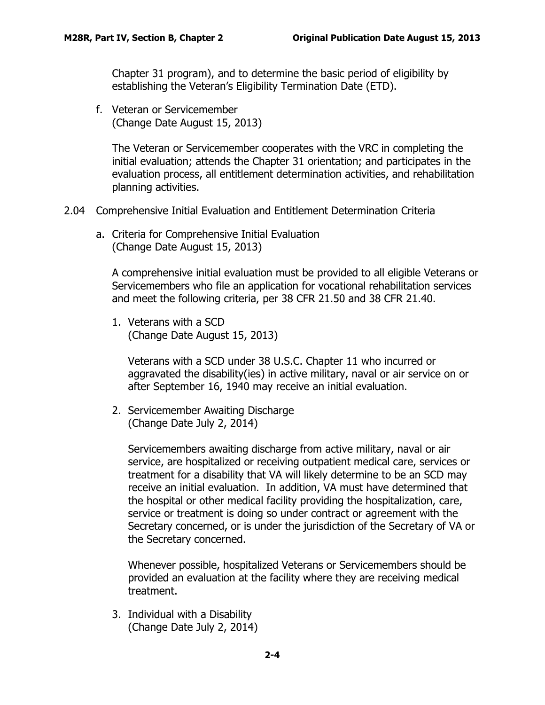Chapter 31 program), and to determine the basic period of eligibility by establishing the Veteran's Eligibility Termination Date (ETD).

<span id="page-5-0"></span>f. Veteran or Servicemember (Change Date August 15, 2013)

The Veteran or Servicemember cooperates with the VRC in completing the initial evaluation; attends the Chapter 31 orientation; and participates in the evaluation process, all entitlement determination activities, and rehabilitation planning activities.

- <span id="page-5-2"></span><span id="page-5-1"></span>2.04 Comprehensive Initial Evaluation and Entitlement Determination Criteria
	- a. Criteria for Comprehensive Initial Evaluation (Change Date August 15, 2013)

A comprehensive initial evaluation must be provided to all eligible Veterans or Servicemembers who file an application for vocational rehabilitation services and meet the following criteria, per 38 CFR 21.50 and 38 CFR 21.40.

1. Veterans with a SCD (Change Date August 15, 2013)

Veterans with a SCD under 38 U.S.C. Chapter 11 who incurred or aggravated the disability(ies) in active military, naval or air service on or after September 16, 1940 may receive an initial evaluation.

2. Servicemember Awaiting Discharge (Change Date July 2, 2014)

Servicemembers awaiting discharge from active military, naval or air service, are hospitalized or receiving outpatient medical care, services or treatment for a disability that VA will likely determine to be an SCD may receive an initial evaluation. In addition, VA must have determined that the hospital or other medical facility providing the hospitalization, care, service or treatment is doing so under contract or agreement with the Secretary concerned, or is under the jurisdiction of the Secretary of VA or the Secretary concerned.

Whenever possible, hospitalized Veterans or Servicemembers should be provided an evaluation at the facility where they are receiving medical treatment.

3. Individual with a Disability (Change Date July 2, 2014)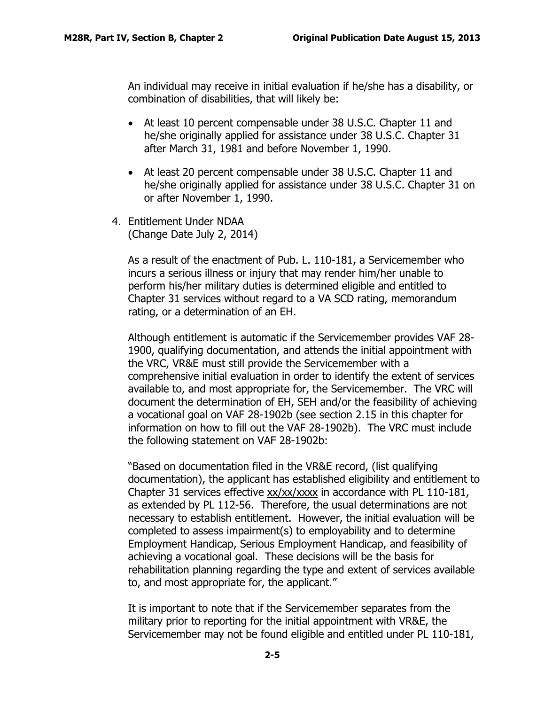An individual may receive in initial evaluation if he/she has a disability, or combination of disabilities, that will likely be:

- At least 10 percent compensable under 38 U.S.C. Chapter 11 and he/she originally applied for assistance under 38 U.S.C. Chapter 31 after March 31, 1981 and before November 1, 1990.
- At least 20 percent compensable under 38 U.S.C. Chapter 11 and he/she originally applied for assistance under 38 U.S.C. Chapter 31 on or after November 1, 1990.
- 4. Entitlement Under NDAA (Change Date July 2, 2014)

As a result of the enactment of Pub. L. 110-181, a Servicemember who incurs a serious illness or injury that may render him/her unable to perform his/her military duties is determined eligible and entitled to Chapter 31 services without regard to a VA SCD rating, memorandum rating, or a determination of an EH.

Although entitlement is automatic if the Servicemember provides VAF 28- 1900, qualifying documentation, and attends the initial appointment with the VRC, VR&E must still provide the Servicemember with a comprehensive initial evaluation in order to identify the extent of services available to, and most appropriate for, the Servicemember. The VRC will document the determination of EH, SEH and/or the feasibility of achieving a vocational goal on VAF 28-1902b (see section 2.15 in this chapter for information on how to fill out the VAF 28-1902b). The VRC must include the following statement on VAF 28-1902b:

"Based on documentation filed in the VR&E record, (list qualifying documentation), the applicant has established eligibility and entitlement to Chapter 31 services effective xx/xx/xxxx in accordance with PL 110-181, as extended by PL 112-56. Therefore, the usual determinations are not necessary to establish entitlement. However, the initial evaluation will be completed to assess impairment(s) to employability and to determine Employment Handicap, Serious Employment Handicap, and feasibility of achieving a vocational goal. These decisions will be the basis for rehabilitation planning regarding the type and extent of services available to, and most appropriate for, the applicant."

It is important to note that if the Servicemember separates from the military prior to reporting for the initial appointment with VR&E, the Servicemember may not be found eligible and entitled under PL 110-181,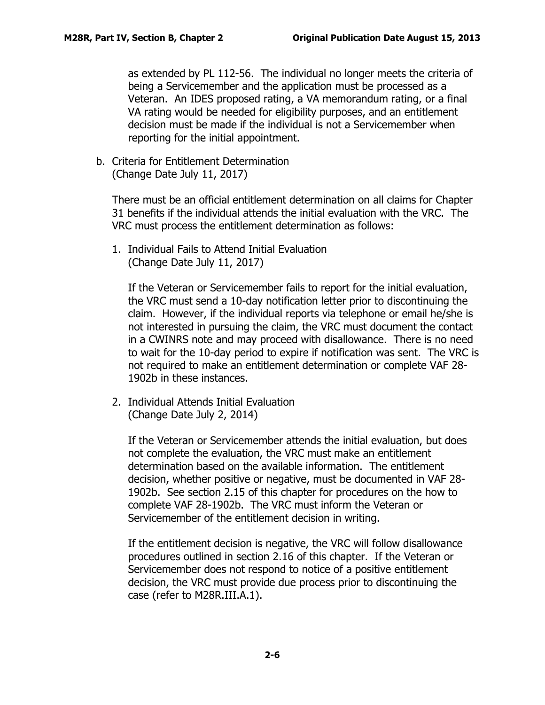as extended by PL 112-56. The individual no longer meets the criteria of being a Servicemember and the application must be processed as a Veteran. An IDES proposed rating, a VA memorandum rating, or a final VA rating would be needed for eligibility purposes, and an entitlement decision must be made if the individual is not a Servicemember when reporting for the initial appointment.

<span id="page-7-0"></span>b. Criteria for Entitlement Determination (Change Date July 11, 2017)

There must be an official entitlement determination on all claims for Chapter 31 benefits if the individual attends the initial evaluation with the VRC. The VRC must process the entitlement determination as follows:

1. Individual Fails to Attend Initial Evaluation (Change Date July 11, 2017)

If the Veteran or Servicemember fails to report for the initial evaluation, the VRC must send a 10-day notification letter prior to discontinuing the claim. However, if the individual reports via telephone or email he/she is not interested in pursuing the claim, the VRC must document the contact in a CWINRS note and may proceed with disallowance. There is no need to wait for the 10-day period to expire if notification was sent. The VRC is not required to make an entitlement determination or complete VAF 28- 1902b in these instances.

2. Individual Attends Initial Evaluation (Change Date July 2, 2014)

If the Veteran or Servicemember attends the initial evaluation, but does not complete the evaluation, the VRC must make an entitlement determination based on the available information. The entitlement decision, whether positive or negative, must be documented in VAF 28- 1902b. See section 2.15 of this chapter for procedures on the how to complete VAF 28-1902b. The VRC must inform the Veteran or Servicemember of the entitlement decision in writing.

If the entitlement decision is negative, the VRC will follow disallowance procedures outlined in section 2.16 of this chapter. If the Veteran or Servicemember does not respond to notice of a positive entitlement decision, the VRC must provide due process prior to discontinuing the case (refer to M28R.III.A.1).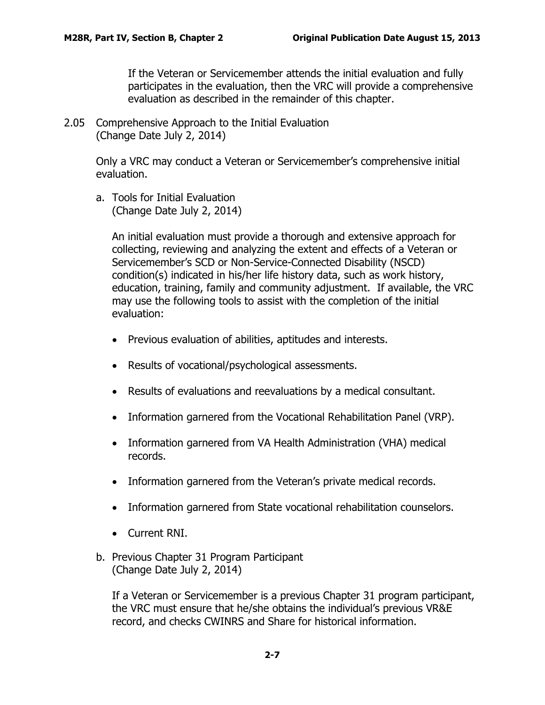If the Veteran or Servicemember attends the initial evaluation and fully participates in the evaluation, then the VRC will provide a comprehensive evaluation as described in the remainder of this chapter.

<span id="page-8-0"></span>2.05 Comprehensive Approach to the Initial Evaluation (Change Date July 2, 2014)

> Only a VRC may conduct a Veteran or Servicemember's comprehensive initial evaluation.

<span id="page-8-1"></span>a. Tools for Initial Evaluation (Change Date July 2, 2014)

> An initial evaluation must provide a thorough and extensive approach for collecting, reviewing and analyzing the extent and effects of a Veteran or Servicemember's SCD or Non-Service-Connected Disability (NSCD) condition(s) indicated in his/her life history data, such as work history, education, training, family and community adjustment. If available, the VRC may use the following tools to assist with the completion of the initial evaluation:

- Previous evaluation of abilities, aptitudes and interests.
- Results of vocational/psychological assessments.
- Results of evaluations and reevaluations by a medical consultant.
- Information garnered from the Vocational Rehabilitation Panel (VRP).
- Information garnered from VA Health Administration (VHA) medical records.
- Information garnered from the Veteran's private medical records.
- Information garnered from State vocational rehabilitation counselors.
- Current RNI.
- <span id="page-8-2"></span>b. Previous Chapter 31 Program Participant (Change Date July 2, 2014)

If a Veteran or Servicemember is a previous Chapter 31 program participant, the VRC must ensure that he/she obtains the individual's previous VR&E record, and checks CWINRS and Share for historical information.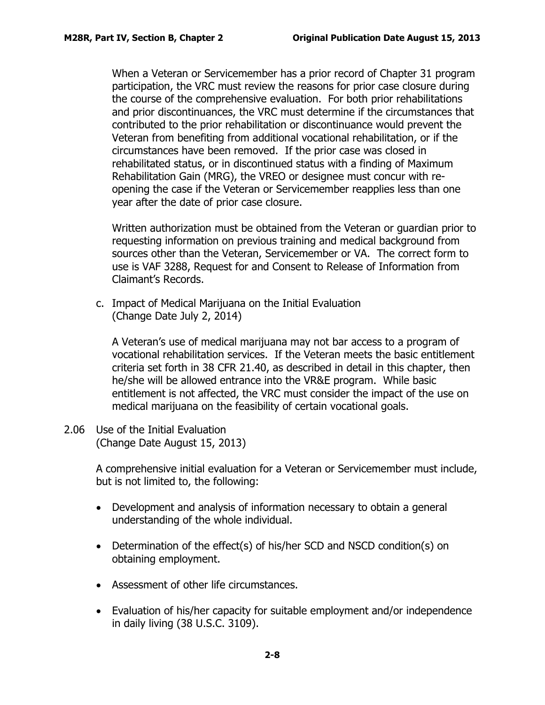When a Veteran or Servicemember has a prior record of Chapter 31 program participation, the VRC must review the reasons for prior case closure during the course of the comprehensive evaluation. For both prior rehabilitations and prior discontinuances, the VRC must determine if the circumstances that contributed to the prior rehabilitation or discontinuance would prevent the Veteran from benefiting from additional vocational rehabilitation, or if the circumstances have been removed. If the prior case was closed in rehabilitated status, or in discontinued status with a finding of Maximum Rehabilitation Gain (MRG), the VREO or designee must concur with reopening the case if the Veteran or Servicemember reapplies less than one year after the date of prior case closure.

Written authorization must be obtained from the Veteran or guardian prior to requesting information on previous training and medical background from sources other than the Veteran, Servicemember or VA. The correct form to use is VAF 3288, Request for and Consent to Release of Information from Claimant's Records.

<span id="page-9-0"></span>c. Impact of Medical Marijuana on the Initial Evaluation (Change Date July 2, 2014)

A Veteran's use of medical marijuana may not bar access to a program of vocational rehabilitation services. If the Veteran meets the basic entitlement criteria set forth in 38 CFR 21.40, as described in detail in this chapter, then he/she will be allowed entrance into the VR&E program. While basic entitlement is not affected, the VRC must consider the impact of the use on medical marijuana on the feasibility of certain vocational goals.

<span id="page-9-1"></span>2.06 Use of the Initial Evaluation (Change Date August 15, 2013)

> A comprehensive initial evaluation for a Veteran or Servicemember must include, but is not limited to, the following:

- Development and analysis of information necessary to obtain a general understanding of the whole individual.
- Determination of the effect(s) of his/her SCD and NSCD condition(s) on obtaining employment.
- Assessment of other life circumstances.
- Evaluation of his/her capacity for suitable employment and/or independence in daily living (38 U.S.C. [3109\)](http://www4.law.cornell.edu/uscode/38/3109.html).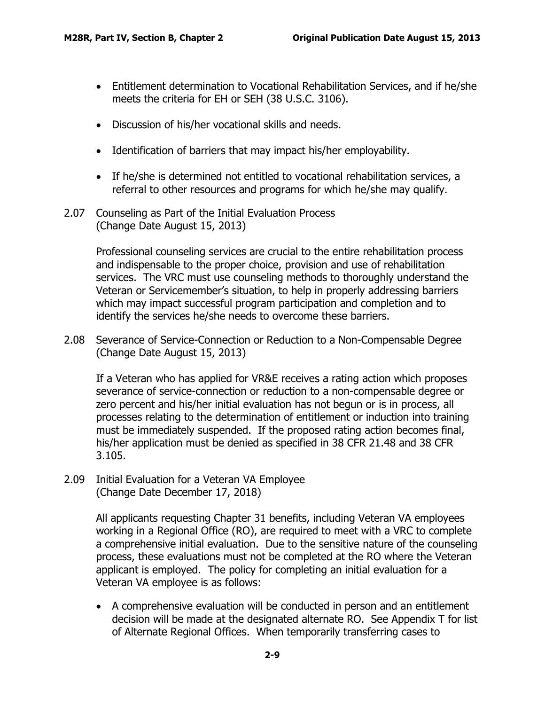- Entitlement determination to Vocational Rehabilitation Services, and if he/she meets the criteria for EH or SEH (38 U.S.C. [3106\)](http://www4.law.cornell.edu/uscode/38/3106.html).
- Discussion of his/her vocational skills and needs.
- Identification of barriers that may impact his/her employability.
- If he/she is determined not entitled to vocational rehabilitation services, a referral to other resources and programs for which he/she may qualify.
- <span id="page-10-0"></span>2.07 Counseling as Part of the Initial Evaluation Process (Change Date August 15, 2013)

Professional counseling services are crucial to the entire rehabilitation process and indispensable to the proper choice, provision and use of rehabilitation services. The VRC must use counseling methods to thoroughly understand the Veteran or Servicemember's situation, to help in properly addressing barriers which may impact successful program participation and completion and to identify the services he/she needs to overcome these barriers.

<span id="page-10-1"></span>2.08 Severance of Service-Connection or Reduction to a Non-Compensable Degree (Change Date August 15, 2013)

If a Veteran who has applied for VR&E receives a rating action which proposes severance of service-connection or reduction to a non-compensable degree or zero percent and his/her initial evaluation has not begun or is in process, all processes relating to the determination of entitlement or induction into training must be immediately suspended. If the proposed rating action becomes final, his/her application must be denied as specified in 38 CFR 21.48 and 38 CFR 3.105.

<span id="page-10-2"></span>2.09 Initial Evaluation for a Veteran VA Employee (Change Date December 17, 2018)

> All applicants requesting Chapter 31 benefits, including Veteran VA employees working in a Regional Office (RO), are required to meet with a VRC to complete a comprehensive initial evaluation. Due to the sensitive nature of the counseling process, these evaluations must not be completed at the RO where the Veteran applicant is employed. The policy for completing an initial evaluation for a Veteran VA employee is as follows:

> • A comprehensive evaluation will be conducted in person and an entitlement decision will be made at the designated alternate RO. See Appendix T for list of Alternate Regional Offices. When temporarily transferring cases to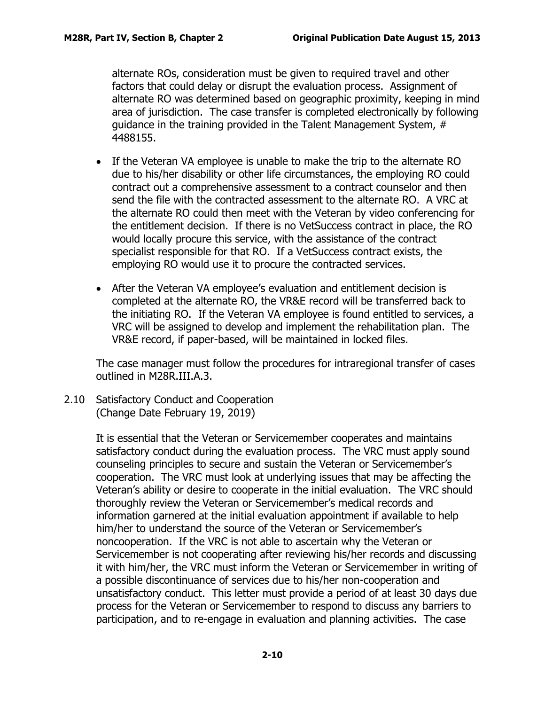alternate ROs, consideration must be given to required travel and other factors that could delay or disrupt the evaluation process. Assignment of alternate RO was determined based on geographic proximity, keeping in mind area of jurisdiction. The case transfer is completed electronically by following guidance in the training provided in the Talent Management System, # 4488155.

- If the Veteran VA employee is unable to make the trip to the alternate RO due to his/her disability or other life circumstances, the employing RO could contract out a comprehensive assessment to a contract counselor and then send the file with the contracted assessment to the alternate RO. A VRC at the alternate RO could then meet with the Veteran by video conferencing for the entitlement decision. If there is no VetSuccess contract in place, the RO would locally procure this service, with the assistance of the contract specialist responsible for that RO. If a VetSuccess contract exists, the employing RO would use it to procure the contracted services.
- After the Veteran VA employee's evaluation and entitlement decision is completed at the alternate RO, the VR&E record will be transferred back to the initiating RO. If the Veteran VA employee is found entitled to services, a VRC will be assigned to develop and implement the rehabilitation plan. The VR&E record, if paper-based, will be maintained in locked files.

The case manager must follow the procedures for intraregional transfer of cases outlined in M28R.III.A.3.

<span id="page-11-0"></span>2.10 Satisfactory Conduct and Cooperation (Change Date February 19, 2019)

> It is essential that the Veteran or Servicemember cooperates and maintains satisfactory conduct during the evaluation process. The VRC must apply sound counseling principles to secure and sustain the Veteran or Servicemember's cooperation. The VRC must look at underlying issues that may be affecting the Veteran's ability or desire to cooperate in the initial evaluation. The VRC should thoroughly review the Veteran or Servicemember's medical records and information garnered at the initial evaluation appointment if available to help him/her to understand the source of the Veteran or Servicemember's noncooperation. If the VRC is not able to ascertain why the Veteran or Servicemember is not cooperating after reviewing his/her records and discussing it with him/her, the VRC must inform the Veteran or Servicemember in writing of a possible discontinuance of services due to his/her non-cooperation and unsatisfactory conduct. This letter must provide a period of at least 30 days due process for the Veteran or Servicemember to respond to discuss any barriers to participation, and to re-engage in evaluation and planning activities. The case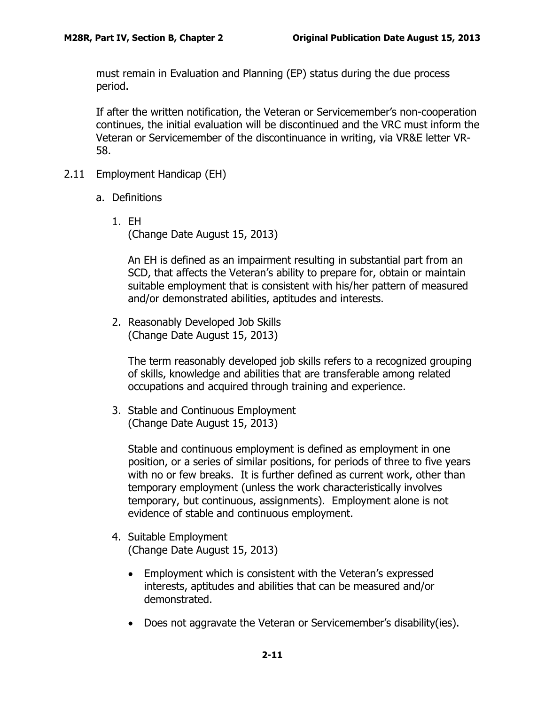must remain in Evaluation and Planning (EP) status during the due process period.

If after the written notification, the Veteran or Servicemember's non-cooperation continues, the initial evaluation will be discontinued and the VRC must inform the Veteran or Servicemember of the discontinuance in writing, via VR&E letter VR-58.

- <span id="page-12-1"></span><span id="page-12-0"></span>2.11 Employment Handicap (EH)
	- a. Definitions
		- 1. EH (Change Date August 15, 2013)

An EH is defined as an impairment resulting in substantial part from an SCD, that affects the Veteran's ability to prepare for, obtain or maintain suitable employment that is consistent with his/her pattern of measured and/or demonstrated abilities, aptitudes and interests.

2. Reasonably Developed Job Skills (Change Date August 15, 2013)

The term reasonably developed job skills refers to a recognized grouping of skills, knowledge and abilities that are transferable among related occupations and acquired through training and experience.

3. Stable and Continuous Employment (Change Date August 15, 2013)

Stable and continuous employment is defined as employment in one position, or a series of similar positions, for periods of three to five years with no or few breaks. It is further defined as current work, other than temporary employment (unless the work characteristically involves temporary, but continuous, assignments). Employment alone is not evidence of stable and continuous employment.

- 4. Suitable Employment (Change Date August 15, 2013)
	- Employment which is consistent with the Veteran's expressed interests, aptitudes and abilities that can be measured and/or demonstrated.
	- Does not aggravate the Veteran or Servicemember's disability(ies).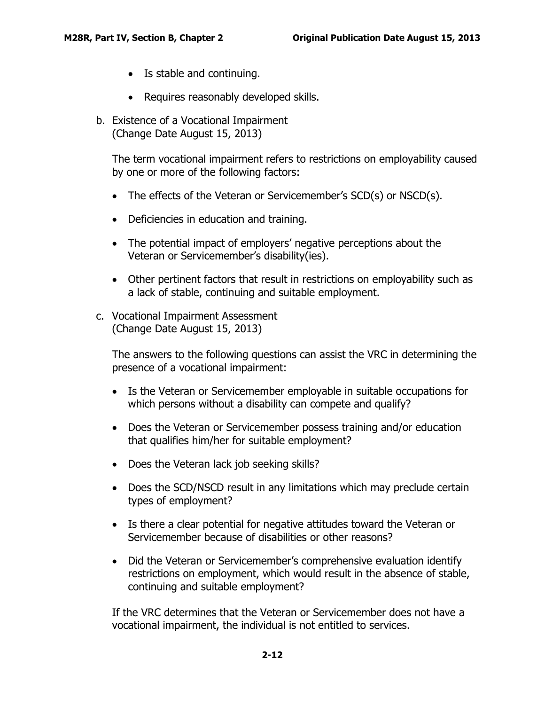- Is stable and continuing.
- Requires reasonably developed skills.
- <span id="page-13-0"></span>b. Existence of a Vocational Impairment (Change Date August 15, 2013)

The term vocational impairment refers to restrictions on employability caused by one or more of the following factors:

- The effects of the Veteran or Servicemember's SCD(s) or NSCD(s).
- Deficiencies in education and training.
- The potential impact of employers' negative perceptions about the Veteran or Servicemember's disability(ies).
- Other pertinent factors that result in restrictions on employability such as a lack of stable, continuing and suitable employment.
- <span id="page-13-1"></span>c. Vocational Impairment Assessment (Change Date August 15, 2013)

The answers to the following questions can assist the VRC in determining the presence of a vocational impairment:

- Is the Veteran or Servicemember employable in suitable occupations for which persons without a disability can compete and qualify?
- Does the Veteran or Servicemember possess training and/or education that qualifies him/her for suitable employment?
- Does the Veteran lack job seeking skills?
- Does the SCD/NSCD result in any limitations which may preclude certain types of employment?
- Is there a clear potential for negative attitudes toward the Veteran or Servicemember because of disabilities or other reasons?
- Did the Veteran or Servicemember's comprehensive evaluation identify restrictions on employment, which would result in the absence of stable, continuing and suitable employment?

If the VRC determines that the Veteran or Servicemember does not have a vocational impairment, the individual is not entitled to services.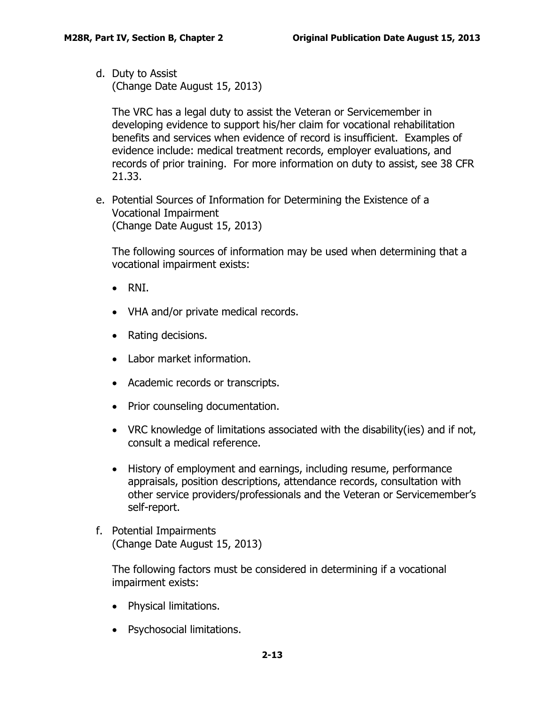<span id="page-14-0"></span>d. Duty to Assist (Change Date August 15, 2013)

The VRC has a legal duty to assist the Veteran or Servicemember in developing evidence to support his/her claim for vocational rehabilitation benefits and services when evidence of record is insufficient. Examples of evidence include: medical treatment records, employer evaluations, and records of prior training. For more information on duty to assist, see 38 CFR 21.33.

<span id="page-14-1"></span>e. Potential Sources of Information for Determining the Existence of a Vocational Impairment (Change Date August 15, 2013)

The following sources of information may be used when determining that a vocational impairment exists:

- RNI.
- VHA and/or private medical records.
- Rating decisions.
- Labor market information.
- Academic records or transcripts.
- Prior counseling documentation.
- VRC knowledge of limitations associated with the disability(ies) and if not, consult a medical reference.
- History of employment and earnings, including resume, performance appraisals, position descriptions, attendance records, consultation with other service providers/professionals and the Veteran or Servicemember's self-report.
- <span id="page-14-2"></span>f. Potential Impairments (Change Date August 15, 2013)

The following factors must be considered in determining if a vocational impairment exists:

- Physical limitations.
- Psychosocial limitations.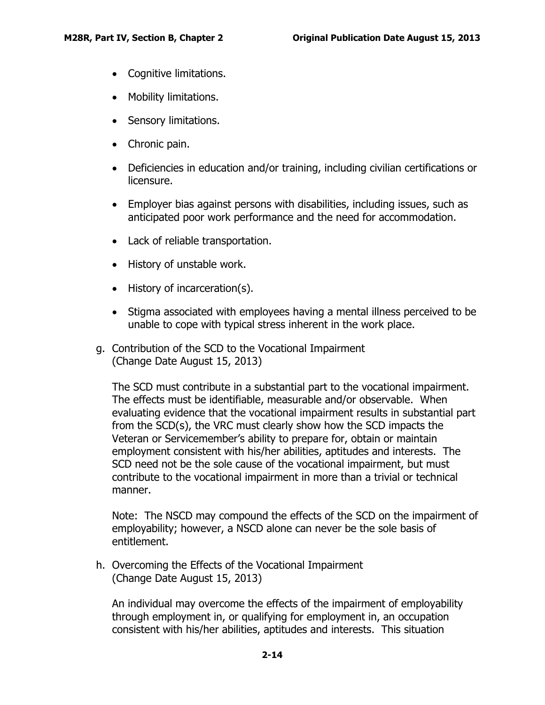- Cognitive limitations.
- Mobility limitations.
- Sensory limitations.
- Chronic pain.
- Deficiencies in education and/or training, including civilian certifications or licensure.
- Employer bias against persons with disabilities, including issues, such as anticipated poor work performance and the need for accommodation.
- Lack of reliable transportation.
- History of unstable work.
- History of incarceration(s).
- Stigma associated with employees having a mental illness perceived to be unable to cope with typical stress inherent in the work place.
- <span id="page-15-0"></span>g. Contribution of the SCD to the Vocational Impairment (Change Date August 15, 2013)

The SCD must contribute in a substantial part to the vocational impairment. The effects must be identifiable, measurable and/or observable. When evaluating evidence that the vocational impairment results in substantial part from the SCD(s), the VRC must clearly show how the SCD impacts the Veteran or Servicemember's ability to prepare for, obtain or maintain employment consistent with his/her abilities, aptitudes and interests. The SCD need not be the sole cause of the vocational impairment, but must contribute to the vocational impairment in more than a trivial or technical manner.

Note: The NSCD may compound the effects of the SCD on the impairment of employability; however, a NSCD alone can never be the sole basis of entitlement.

<span id="page-15-1"></span>h. Overcoming the Effects of the Vocational Impairment (Change Date August 15, 2013)

An individual may overcome the effects of the impairment of employability through employment in, or qualifying for employment in, an occupation consistent with his/her abilities, aptitudes and interests. This situation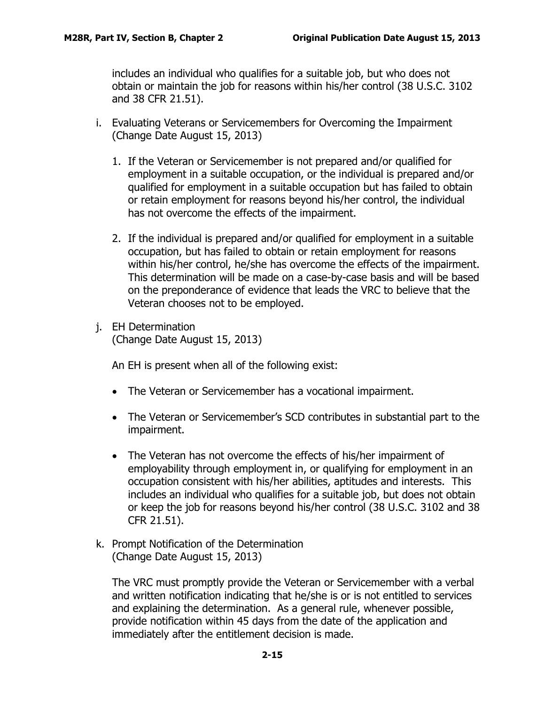includes an individual who qualifies for a suitable job, but who does not obtain or maintain the job for reasons within his/her control (38 U.S.C. 3102 and 38 CFR 21.51).

- <span id="page-16-0"></span>i. Evaluating Veterans or Servicemembers for Overcoming the Impairment (Change Date August 15, 2013)
	- 1. If the Veteran or Servicemember is not prepared and/or qualified for employment in a suitable occupation, or the individual is prepared and/or qualified for employment in a suitable occupation but has failed to obtain or retain employment for reasons beyond his/her control, the individual has not overcome the effects of the impairment.
	- 2. If the individual is prepared and/or qualified for employment in a suitable occupation, but has failed to obtain or retain employment for reasons within his/her control, he/she has overcome the effects of the impairment. This determination will be made on a case-by-case basis and will be based on the preponderance of evidence that leads the VRC to believe that the Veteran chooses not to be employed.
- <span id="page-16-1"></span>j. EH Determination (Change Date August 15, 2013)

An EH is present when all of the following exist:

- The Veteran or Servicemember has a vocational impairment.
- The Veteran or Servicemember's SCD contributes in substantial part to the impairment.
- The Veteran has not overcome the effects of his/her impairment of employability through employment in, or qualifying for employment in an occupation consistent with his/her abilities, aptitudes and interests. This includes an individual who qualifies for a suitable job, but does not obtain or keep the job for reasons beyond his/her control (38 U.S.C. 3102 and 38 CFR 21.51).
- <span id="page-16-2"></span>k. Prompt Notification of the Determination (Change Date August 15, 2013)

The VRC must promptly provide the Veteran or Servicemember with a verbal and written notification indicating that he/she is or is not entitled to services and explaining the determination. As a general rule, whenever possible, provide notification within 45 days from the date of the application and immediately after the entitlement decision is made.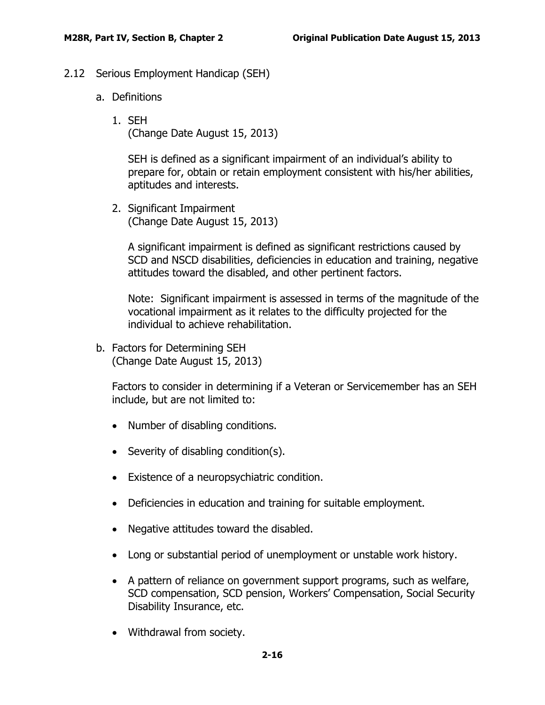- <span id="page-17-1"></span><span id="page-17-0"></span>2.12 Serious Employment Handicap (SEH)
	- a. Definitions
		- 1. SEH (Change Date August 15, 2013)

SEH is defined as a significant impairment of an individual's ability to prepare for, obtain or retain employment consistent with his/her abilities, aptitudes and interests.

2. Significant Impairment (Change Date August 15, 2013)

A significant impairment is defined as significant restrictions caused by SCD and NSCD disabilities, deficiencies in education and training, negative attitudes toward the disabled, and other pertinent factors.

Note: Significant impairment is assessed in terms of the magnitude of the vocational impairment as it relates to the difficulty projected for the individual to achieve rehabilitation.

<span id="page-17-2"></span>b. Factors for Determining SEH (Change Date August 15, 2013)

Factors to consider in determining if a Veteran or Servicemember has an SEH include, but are not limited to:

- Number of disabling conditions.
- Severity of disabling condition(s).
- Existence of a neuropsychiatric condition.
- Deficiencies in education and training for suitable employment.
- Negative attitudes toward the disabled.
- Long or substantial period of unemployment or unstable work history.
- A pattern of reliance on government support programs, such as welfare, SCD compensation, SCD pension, Workers' Compensation, Social Security Disability Insurance, etc.
- Withdrawal from society.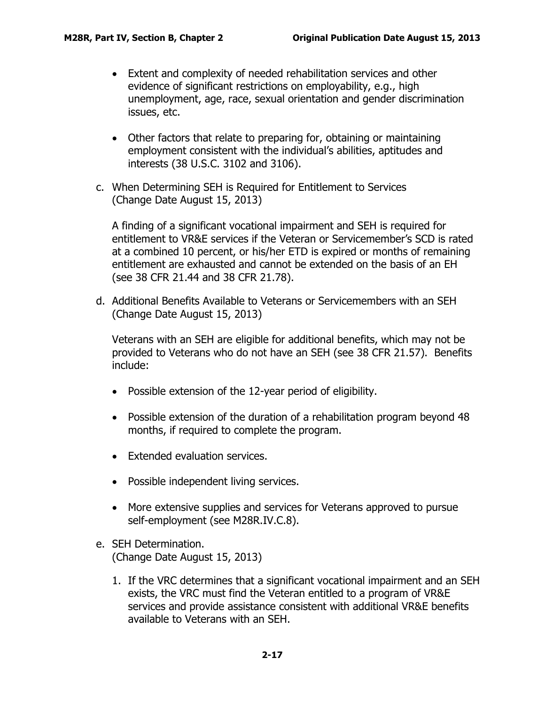- Extent and complexity of needed rehabilitation services and other evidence of significant restrictions on employability, e.g., high unemployment, age, race, sexual orientation and gender discrimination issues, etc.
- Other factors that relate to preparing for, obtaining or maintaining employment consistent with the individual's abilities, aptitudes and interests (38 U.S.C. 3102 and 3106).
- <span id="page-18-0"></span>c. When Determining SEH is Required for Entitlement to Services (Change Date August 15, 2013)

A finding of a significant vocational impairment and SEH is required for entitlement to VR&E services if the Veteran or Servicemember's SCD is rated at a combined 10 percent, or his/her ETD is expired or months of remaining entitlement are exhausted and cannot be extended on the basis of an EH (see 38 CFR 21.44 and 38 CFR 21.78).

<span id="page-18-1"></span>d. Additional Benefits Available to Veterans or Servicemembers with an SEH (Change Date August 15, 2013)

Veterans with an SEH are eligible for additional benefits, which may not be provided to Veterans who do not have an SEH (see 38 CFR 21.57). Benefits include:

- Possible extension of the 12-year period of eligibility.
- Possible extension of the duration of a rehabilitation program beyond 48 months, if required to complete the program.
- Extended evaluation services.
- Possible independent living services.
- More extensive supplies and services for Veterans approved to pursue self-employment (see M28R.IV.C.8).
- <span id="page-18-2"></span>e. SEH Determination. (Change Date August 15, 2013)
	- 1. If the VRC determines that a significant vocational impairment and an SEH exists, the VRC must find the Veteran entitled to a program of VR&E services and provide assistance consistent with additional VR&E benefits available to Veterans with an SEH.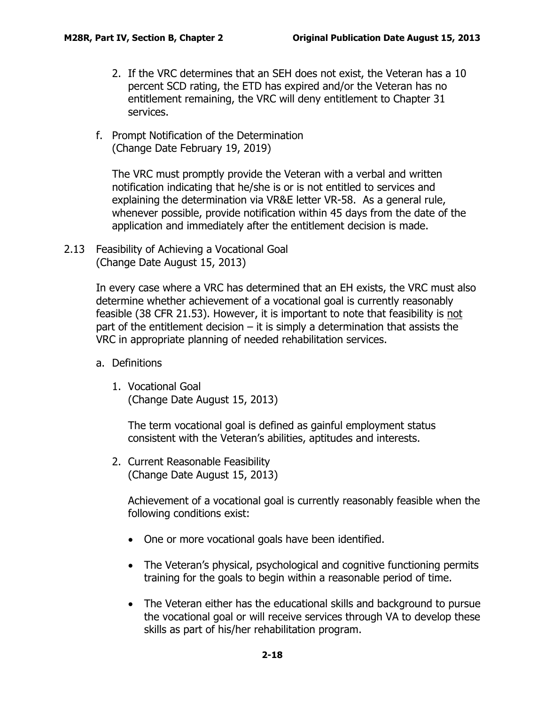- 2. If the VRC determines that an SEH does not exist, the Veteran has a 10 percent SCD rating, the ETD has expired and/or the Veteran has no entitlement remaining, the VRC will deny entitlement to Chapter 31 services.
- <span id="page-19-0"></span>f. Prompt Notification of the Determination (Change Date February 19, 2019)

The VRC must promptly provide the Veteran with a verbal and written notification indicating that he/she is or is not entitled to services and explaining the determination via VR&E letter VR-58. As a general rule, whenever possible, provide notification within 45 days from the date of the application and immediately after the entitlement decision is made.

<span id="page-19-1"></span>2.13 Feasibility of Achieving a Vocational Goal (Change Date August 15, 2013)

> In every case where a VRC has determined that an EH exists, the VRC must also determine whether achievement of a vocational goal is currently reasonably feasible (38 CFR 21.53). However, it is important to note that feasibility is not part of the entitlement decision  $-$  it is simply a determination that assists the VRC in appropriate planning of needed rehabilitation services.

- <span id="page-19-2"></span>a. Definitions
	- 1. Vocational Goal (Change Date August 15, 2013)

The term vocational goal is defined as gainful employment status consistent with the Veteran's abilities, aptitudes and interests.

2. Current Reasonable Feasibility (Change Date August 15, 2013)

Achievement of a vocational goal is currently reasonably feasible when the following conditions exist:

- One or more vocational goals have been identified.
- The Veteran's physical, psychological and cognitive functioning permits training for the goals to begin within a reasonable period of time.
- The Veteran either has the educational skills and background to pursue the vocational goal or will receive services through VA to develop these skills as part of his/her rehabilitation program.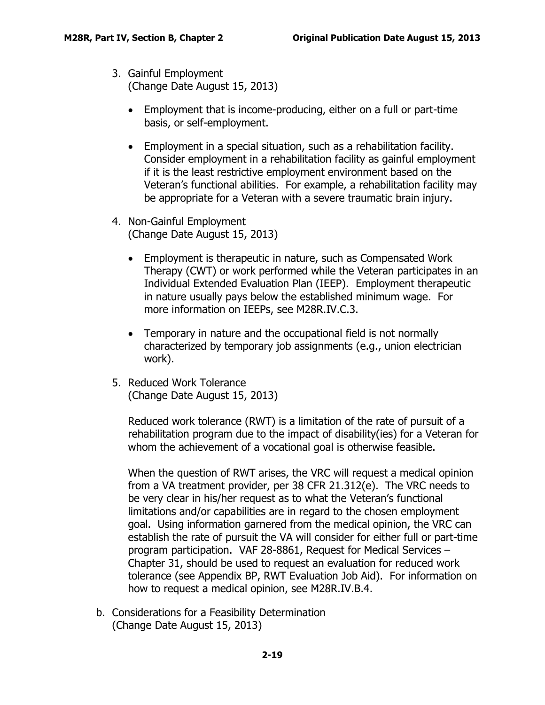- 3. Gainful Employment (Change Date August 15, 2013)
	- Employment that is income-producing, either on a full or part-time basis, or self-employment.
	- Employment in a special situation, such as a rehabilitation facility. Consider employment in a rehabilitation facility as gainful employment if it is the least restrictive employment environment based on the Veteran's functional abilities. For example, a rehabilitation facility may be appropriate for a Veteran with a severe traumatic brain injury.
- 4. Non-Gainful Employment (Change Date August 15, 2013)
	- Employment is therapeutic in nature, such as Compensated Work Therapy (CWT) or work performed while the Veteran participates in an Individual Extended Evaluation Plan (IEEP). Employment therapeutic in nature usually pays below the established minimum wage. For more information on IEEPs, see M28R.IV.C.3.
	- Temporary in nature and the occupational field is not normally characterized by temporary job assignments (e.g., union electrician work).
- 5. Reduced Work Tolerance (Change Date August 15, 2013)

Reduced work tolerance (RWT) is a limitation of the rate of pursuit of a rehabilitation program due to the impact of disability(ies) for a Veteran for whom the achievement of a vocational goal is otherwise feasible.

When the question of RWT arises, the VRC will request a medical opinion from a VA treatment provider, per 38 CFR 21.312(e). The VRC needs to be very clear in his/her request as to what the Veteran's functional limitations and/or capabilities are in regard to the chosen employment goal. Using information garnered from the medical opinion, the VRC can establish the rate of pursuit the VA will consider for either full or part-time program participation. VAF 28-8861, Request for Medical Services – Chapter 31, should be used to request an evaluation for reduced work tolerance (see Appendix BP, RWT Evaluation Job Aid). For information on how to request a medical opinion, see M28R.IV.B.4.

<span id="page-20-0"></span>b. Considerations for a Feasibility Determination (Change Date August 15, 2013)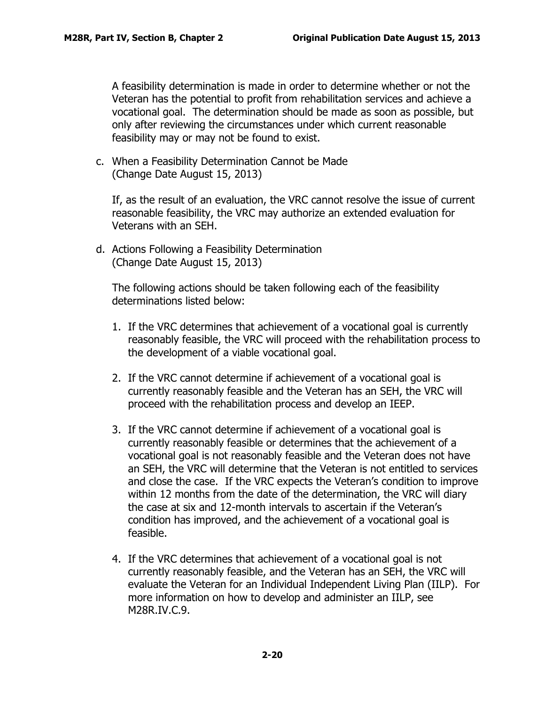A feasibility determination is made in order to determine whether or not the Veteran has the potential to profit from rehabilitation services and achieve a vocational goal. The determination should be made as soon as possible, but only after reviewing the circumstances under which current reasonable feasibility may or may not be found to exist.

<span id="page-21-0"></span>c. When a Feasibility Determination Cannot be Made (Change Date August 15, 2013)

If, as the result of an evaluation, the VRC cannot resolve the issue of current reasonable feasibility, the VRC may authorize an extended evaluation for Veterans with an SEH.

<span id="page-21-1"></span>d. Actions Following a Feasibility Determination (Change Date August 15, 2013)

The following actions should be taken following each of the feasibility determinations listed below:

- 1. If the VRC determines that achievement of a vocational goal is currently reasonably feasible, the VRC will proceed with the rehabilitation process to the development of a viable vocational goal.
- 2. If the VRC cannot determine if achievement of a vocational goal is currently reasonably feasible and the Veteran has an SEH, the VRC will proceed with the rehabilitation process and develop an IEEP.
- 3. If the VRC cannot determine if achievement of a vocational goal is currently reasonably feasible or determines that the achievement of a vocational goal is not reasonably feasible and the Veteran does not have an SEH, the VRC will determine that the Veteran is not entitled to services and close the case. If the VRC expects the Veteran's condition to improve within 12 months from the date of the determination, the VRC will diary the case at six and 12-month intervals to ascertain if the Veteran's condition has improved, and the achievement of a vocational goal is feasible.
- 4. If the VRC determines that achievement of a vocational goal is not currently reasonably feasible, and the Veteran has an SEH, the VRC will evaluate the Veteran for an Individual Independent Living Plan (IILP). For more information on how to develop and administer an IILP, see M28R.IV.C.9.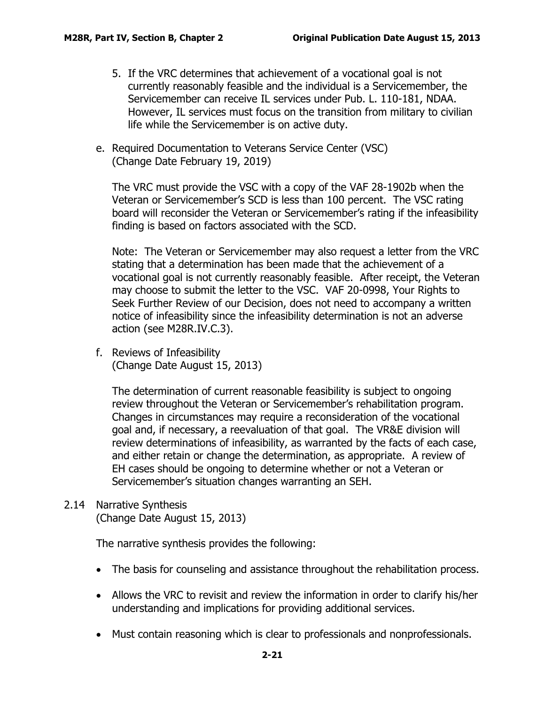- 5. If the VRC determines that achievement of a vocational goal is not currently reasonably feasible and the individual is a Servicemember, the Servicemember can receive IL services under Pub. L. 110-181, NDAA. However, IL services must focus on the transition from military to civilian life while the Servicemember is on active duty.
- <span id="page-22-0"></span>e. Required Documentation to Veterans Service Center (VSC) (Change Date February 19, 2019)

The VRC must provide the VSC with a copy of the VAF 28-1902b when the Veteran or Servicemember's SCD is less than 100 percent. The VSC rating board will reconsider the Veteran or Servicemember's rating if the infeasibility finding is based on factors associated with the SCD.

Note: The Veteran or Servicemember may also request a letter from the VRC stating that a determination has been made that the achievement of a vocational goal is not currently reasonably feasible. After receipt, the Veteran may choose to submit the letter to the VSC. VAF 20-0998, Your Rights to Seek Further Review of our Decision, does not need to accompany a written notice of infeasibility since the infeasibility determination is not an adverse action (see M28R.IV.C.3).

<span id="page-22-1"></span>f. Reviews of Infeasibility (Change Date August 15, 2013)

The determination of current reasonable feasibility is subject to ongoing review throughout the Veteran or Servicemember's rehabilitation program. Changes in circumstances may require a reconsideration of the vocational goal and, if necessary, a reevaluation of that goal. The VR&E division will review determinations of infeasibility, as warranted by the facts of each case, and either retain or change the determination, as appropriate. A review of EH cases should be ongoing to determine whether or not a Veteran or Servicemember's situation changes warranting an SEH.

## <span id="page-22-2"></span>2.14 Narrative Synthesis (Change Date August 15, 2013)

The narrative synthesis provides the following:

- The basis for counseling and assistance throughout the rehabilitation process.
- Allows the VRC to revisit and review the information in order to clarify his/her understanding and implications for providing additional services.
- Must contain reasoning which is clear to professionals and nonprofessionals.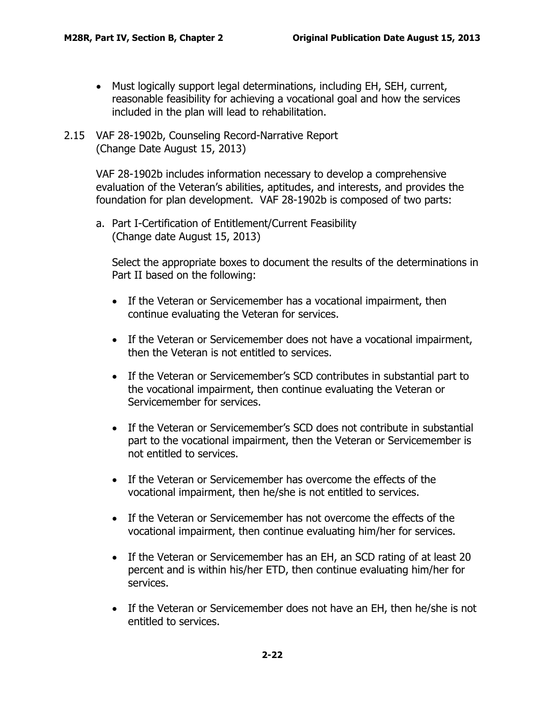- Must logically support legal determinations, including EH, SEH, current, reasonable feasibility for achieving a vocational goal and how the services included in the plan will lead to rehabilitation.
- <span id="page-23-0"></span>2.15 VAF 28-1902b, Counseling Record-Narrative Report (Change Date August 15, 2013)

VAF 28-1902b includes information necessary to develop a comprehensive evaluation of the Veteran's abilities, aptitudes, and interests, and provides the foundation for plan development. VAF 28-1902b is composed of two parts:

<span id="page-23-1"></span>a. Part I-Certification of Entitlement/Current Feasibility (Change date August 15, 2013)

Select the appropriate boxes to document the results of the determinations in Part II based on the following:

- If the Veteran or Servicemember has a vocational impairment, then continue evaluating the Veteran for services.
- If the Veteran or Servicemember does not have a vocational impairment, then the Veteran is not entitled to services.
- If the Veteran or Servicemember's SCD contributes in substantial part to the vocational impairment, then continue evaluating the Veteran or Servicemember for services.
- If the Veteran or Servicemember's SCD does not contribute in substantial part to the vocational impairment, then the Veteran or Servicemember is not entitled to services.
- If the Veteran or Servicemember has overcome the effects of the vocational impairment, then he/she is not entitled to services.
- If the Veteran or Servicemember has not overcome the effects of the vocational impairment, then continue evaluating him/her for services.
- If the Veteran or Servicemember has an EH, an SCD rating of at least 20 percent and is within his/her ETD, then continue evaluating him/her for services.
- If the Veteran or Servicemember does not have an EH, then he/she is not entitled to services.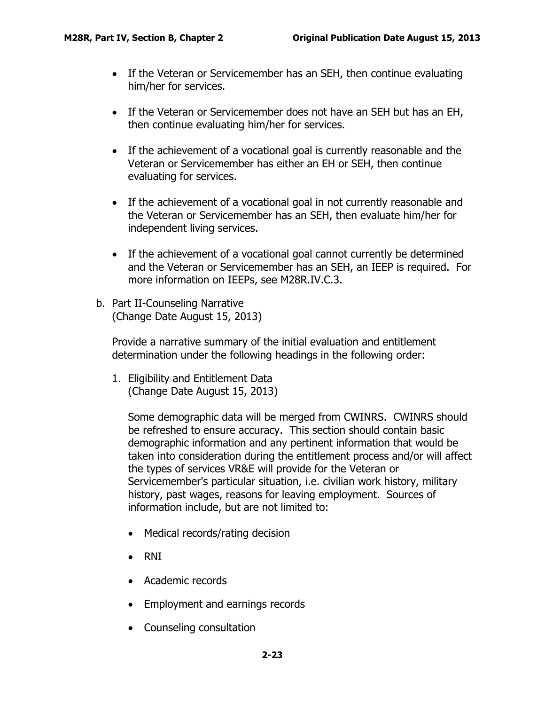- If the Veteran or Servicemember has an SEH, then continue evaluating him/her for services.
- If the Veteran or Servicemember does not have an SEH but has an EH, then continue evaluating him/her for services.
- If the achievement of a vocational goal is currently reasonable and the Veteran or Servicemember has either an EH or SEH, then continue evaluating for services.
- If the achievement of a vocational goal in not currently reasonable and the Veteran or Servicemember has an SEH, then evaluate him/her for independent living services.
- If the achievement of a vocational goal cannot currently be determined and the Veteran or Servicemember has an SEH, an IEEP is required. For more information on IEEPs, see M28R.IV.C.3.
- <span id="page-24-0"></span>b. Part II-Counseling Narrative (Change Date August 15, 2013)

Provide a narrative summary of the initial evaluation and entitlement determination under the following headings in the following order:

1. Eligibility and Entitlement Data (Change Date August 15, 2013)

Some demographic data will be merged from CWINRS. CWINRS should be refreshed to ensure accuracy. This section should contain basic demographic information and any pertinent information that would be taken into consideration during the entitlement process and/or will affect the types of services VR&E will provide for the Veteran or Servicemember's particular situation, i.e. civilian work history, military history, past wages, reasons for leaving employment. Sources of information include, but are not limited to:

- Medical records/rating decision
- RNI
- Academic records
- Employment and earnings records
- Counseling consultation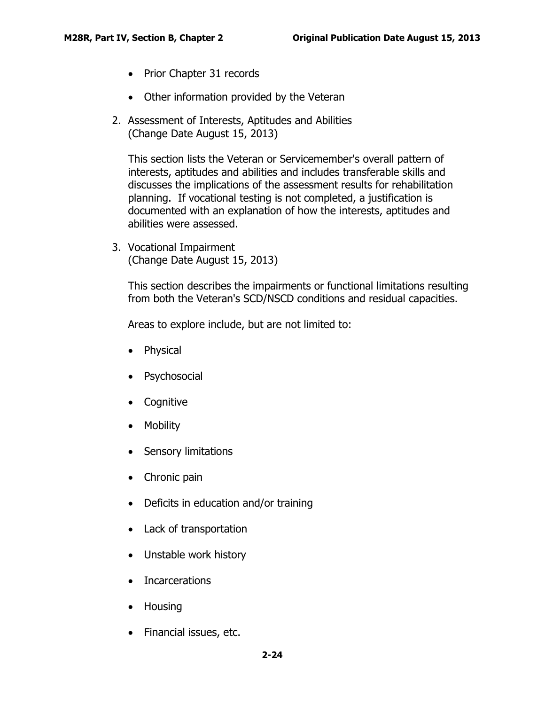- Prior Chapter 31 records
- Other information provided by the Veteran
- 2. Assessment of Interests, Aptitudes and Abilities (Change Date August 15, 2013)

This section lists the Veteran or Servicemember's overall pattern of interests, aptitudes and abilities and includes transferable skills and discusses the implications of the assessment results for rehabilitation planning. If vocational testing is not completed, a justification is documented with an explanation of how the interests, aptitudes and abilities were assessed.

3. Vocational Impairment (Change Date August 15, 2013)

This section describes the impairments or functional limitations resulting from both the Veteran's SCD/NSCD conditions and residual capacities.

Areas to explore include, but are not limited to:

- Physical
- Psychosocial
- Cognitive
- Mobility
- Sensory limitations
- Chronic pain
- Deficits in education and/or training
- Lack of transportation
- Unstable work history
- Incarcerations
- Housing
- Financial issues, etc.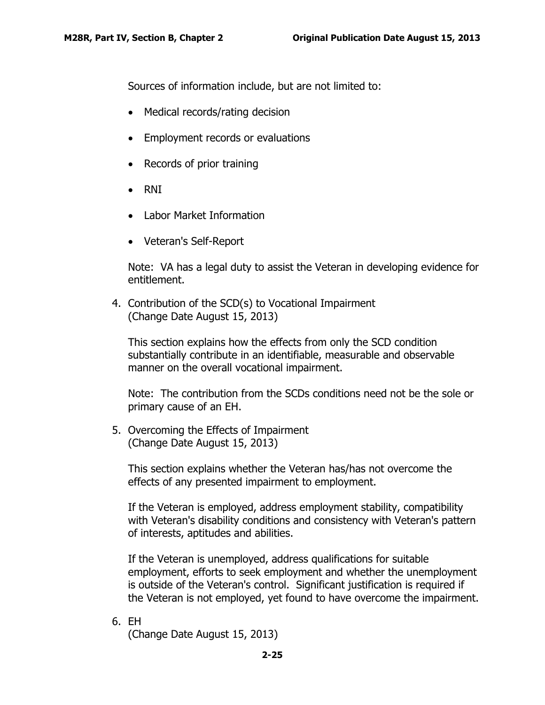Sources of information include, but are not limited to:

- Medical records/rating decision
- Employment records or evaluations
- Records of prior training
- RNI
- Labor Market Information
- Veteran's Self-Report

Note: VA has a legal duty to assist the Veteran in developing evidence for entitlement.

4. Contribution of the SCD(s) to Vocational Impairment (Change Date August 15, 2013)

This section explains how the effects from only the SCD condition substantially contribute in an identifiable, measurable and observable manner on the overall vocational impairment.

Note: The contribution from the SCDs conditions need not be the sole or primary cause of an EH.

5. Overcoming the Effects of Impairment (Change Date August 15, 2013)

This section explains whether the Veteran has/has not overcome the effects of any presented impairment to employment.

If the Veteran is employed, address employment stability, compatibility with Veteran's disability conditions and consistency with Veteran's pattern of interests, aptitudes and abilities.

If the Veteran is unemployed, address qualifications for suitable employment, efforts to seek employment and whether the unemployment is outside of the Veteran's control. Significant justification is required if the Veteran is not employed, yet found to have overcome the impairment.

6. EH

(Change Date August 15, 2013)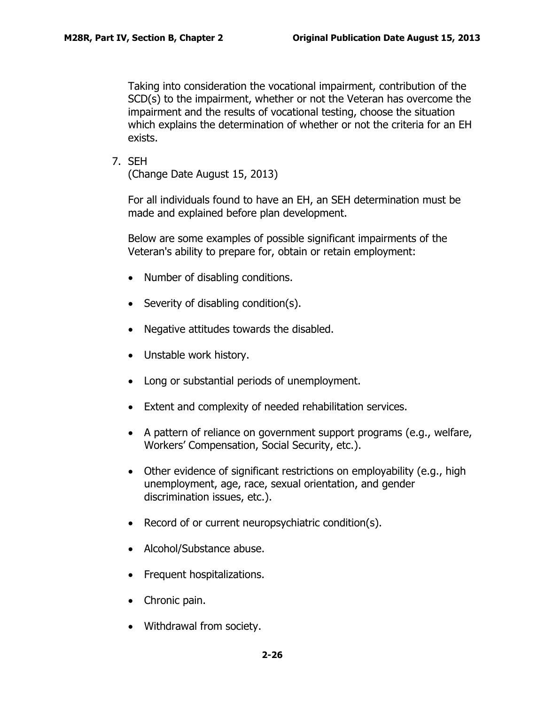Taking into consideration the vocational impairment, contribution of the SCD(s) to the impairment, whether or not the Veteran has overcome the impairment and the results of vocational testing, choose the situation which explains the determination of whether or not the criteria for an EH exists.

7. SEH

(Change Date August 15, 2013)

For all individuals found to have an EH, an SEH determination must be made and explained before plan development.

Below are some examples of possible significant impairments of the Veteran's ability to prepare for, obtain or retain employment:

- Number of disabling conditions.
- Severity of disabling condition(s).
- Negative attitudes towards the disabled.
- Unstable work history.
- Long or substantial periods of unemployment.
- Extent and complexity of needed rehabilitation services.
- A pattern of reliance on government support programs (e.g., welfare, Workers' Compensation, Social Security, etc.).
- Other evidence of significant restrictions on employability (e.g., high unemployment, age, race, sexual orientation, and gender discrimination issues, etc.).
- Record of or current neuropsychiatric condition(s).
- Alcohol/Substance abuse.
- Frequent hospitalizations.
- Chronic pain.
- Withdrawal from society.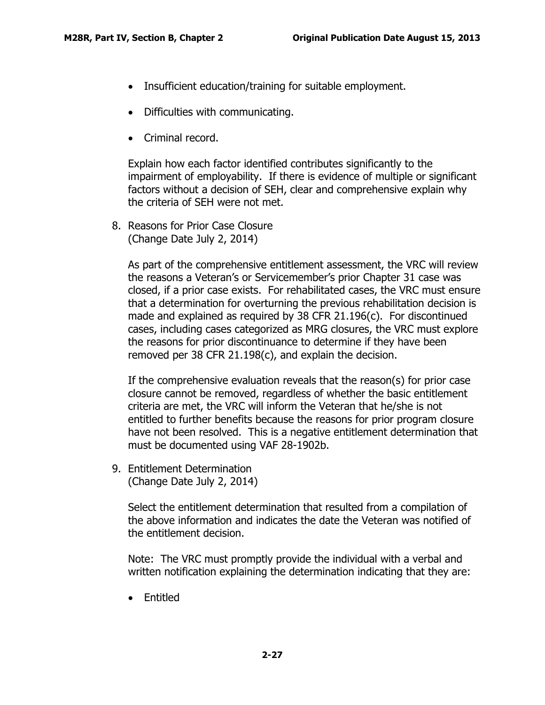- Insufficient education/training for suitable employment.
- Difficulties with communicating.
- Criminal record.

Explain how each factor identified contributes significantly to the impairment of employability. If there is evidence of multiple or significant factors without a decision of SEH, clear and comprehensive explain why the criteria of SEH were not met.

8. Reasons for Prior Case Closure (Change Date July 2, 2014)

As part of the comprehensive entitlement assessment, the VRC will review the reasons a Veteran's or Servicemember's prior Chapter 31 case was closed, if a prior case exists. For rehabilitated cases, the VRC must ensure that a determination for overturning the previous rehabilitation decision is made and explained as required by 38 CFR 21.196(c). For discontinued cases, including cases categorized as MRG closures, the VRC must explore the reasons for prior discontinuance to determine if they have been removed per 38 CFR 21.198(c), and explain the decision.

If the comprehensive evaluation reveals that the reason(s) for prior case closure cannot be removed, regardless of whether the basic entitlement criteria are met, the VRC will inform the Veteran that he/she is not entitled to further benefits because the reasons for prior program closure have not been resolved. This is a negative entitlement determination that must be documented using VAF 28-1902b.

9. Entitlement Determination (Change Date July 2, 2014)

> Select the entitlement determination that resulted from a compilation of the above information and indicates the date the Veteran was notified of the entitlement decision.

> Note: The VRC must promptly provide the individual with a verbal and written notification explaining the determination indicating that they are:

• Entitled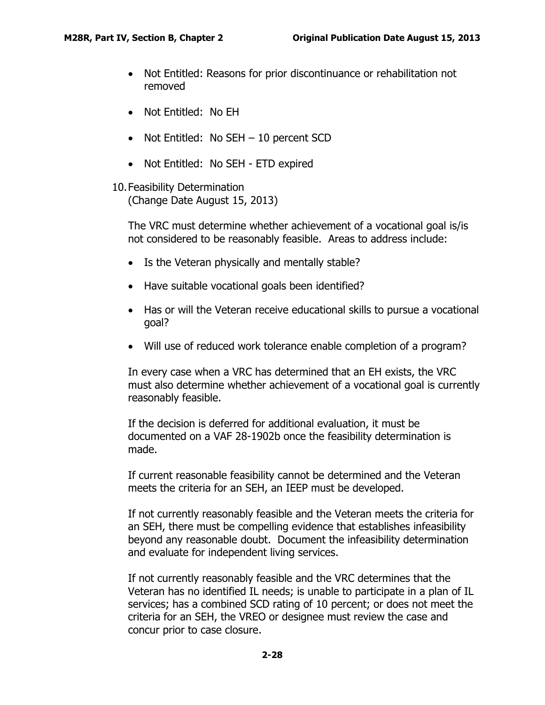- Not Entitled: Reasons for prior discontinuance or rehabilitation not removed
- Not Entitled: No EH
- Not Entitled: No SEH 10 percent SCD
- Not Entitled: No SEH ETD expired
- 10.Feasibility Determination (Change Date August 15, 2013)

The VRC must determine whether achievement of a vocational goal is/is not considered to be reasonably feasible. Areas to address include:

- Is the Veteran physically and mentally stable?
- Have suitable vocational goals been identified?
- Has or will the Veteran receive educational skills to pursue a vocational goal?
- Will use of reduced work tolerance enable completion of a program?

In every case when a VRC has determined that an EH exists, the VRC must also determine whether achievement of a vocational goal is currently reasonably feasible.

If the decision is deferred for additional evaluation, it must be documented on a VAF 28-1902b once the feasibility determination is made.

If current reasonable feasibility cannot be determined and the Veteran meets the criteria for an SEH, an IEEP must be developed.

If not currently reasonably feasible and the Veteran meets the criteria for an SEH, there must be compelling evidence that establishes infeasibility beyond any reasonable doubt. Document the infeasibility determination and evaluate for independent living services.

If not currently reasonably feasible and the VRC determines that the Veteran has no identified IL needs; is unable to participate in a plan of IL services; has a combined SCD rating of 10 percent; or does not meet the criteria for an SEH, the VREO or designee must review the case and concur prior to case closure.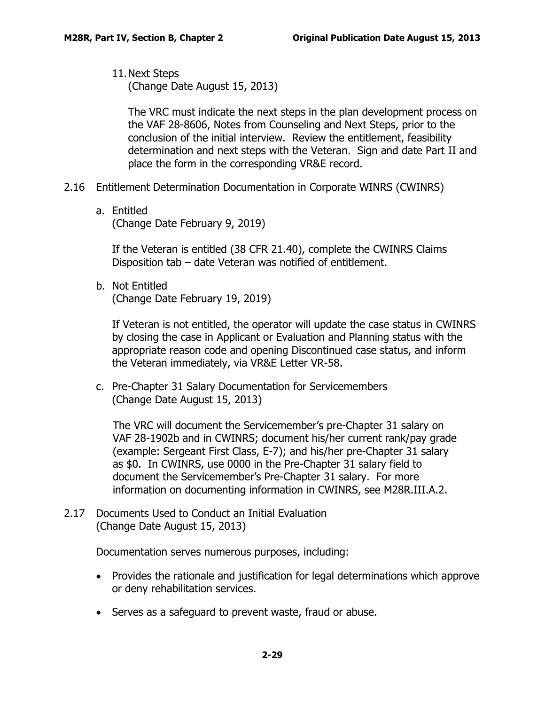11.Next Steps (Change Date August 15, 2013)

The VRC must indicate the next steps in the plan development process on the VAF 28-8606, Notes from Counseling and Next Steps, prior to the conclusion of the initial interview. Review the entitlement, feasibility determination and next steps with the Veteran. Sign and date Part II and place the form in the corresponding VR&E record.

- <span id="page-30-0"></span>2.16 Entitlement Determination Documentation in Corporate WINRS (CWINRS)
	- a. Entitled (Change Date February 9, 2019)

If the Veteran is entitled (38 CFR 21.40), complete the CWINRS Claims Disposition tab – date Veteran was notified of entitlement.

b. Not Entitled (Change Date February 19, 2019)

If Veteran is not entitled, the operator will update the case status in CWINRS by closing the case in Applicant or Evaluation and Planning status with the appropriate reason code and opening Discontinued case status, and inform the Veteran immediately, via VR&E Letter VR-58.

c. Pre-Chapter 31 Salary Documentation for Servicemembers (Change Date August 15, 2013)

The VRC will document the Servicemember's pre-Chapter 31 salary on VAF 28-1902b and in CWINRS; document his/her current rank/pay grade (example: Sergeant First Class, E-7); and his/her pre-Chapter 31 salary as \$0. In CWINRS, use 0000 in the Pre-Chapter 31 salary field to document the Servicemember's Pre-Chapter 31 salary. For more information on documenting information in CWINRS, see M28R.III.A.2.

<span id="page-30-1"></span>2.17 Documents Used to Conduct an Initial Evaluation (Change Date August 15, 2013)

Documentation serves numerous purposes, including:

- Provides the rationale and justification for legal determinations which approve or deny rehabilitation services.
- Serves as a safeguard to prevent waste, fraud or abuse.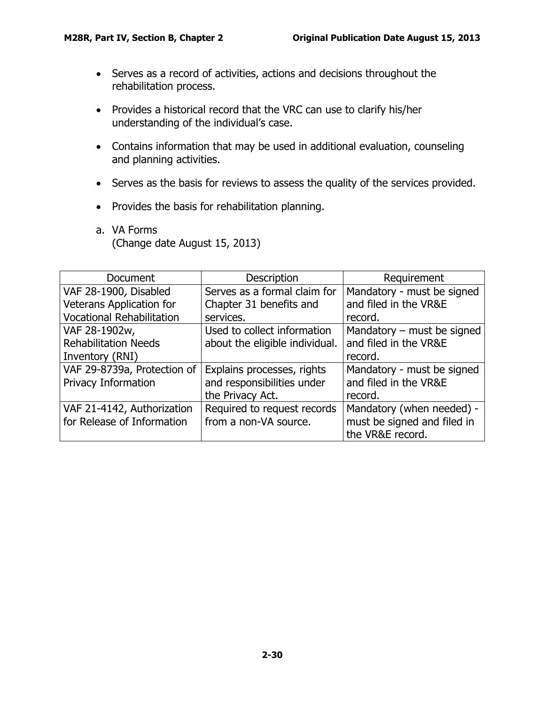- Serves as a record of activities, actions and decisions throughout the rehabilitation process.
- Provides a historical record that the VRC can use to clarify his/her understanding of the individual's case.
- Contains information that may be used in additional evaluation, counseling and planning activities.
- Serves as the basis for reviews to assess the quality of the services provided.
- Provides the basis for rehabilitation planning.
- <span id="page-31-0"></span>a. VA Forms (Change date August 15, 2013)

| Document                         | <b>Description</b>             | Requirement                  |
|----------------------------------|--------------------------------|------------------------------|
| VAF 28-1900, Disabled            | Serves as a formal claim for   | Mandatory - must be signed   |
| <b>Veterans Application for</b>  | Chapter 31 benefits and        | and filed in the VR&E        |
| <b>Vocational Rehabilitation</b> | services.                      | record.                      |
| VAF 28-1902w,                    | Used to collect information    | Mandatory $-$ must be signed |
| <b>Rehabilitation Needs</b>      | about the eligible individual. | and filed in the VR&E        |
| Inventory (RNI)                  |                                | record.                      |
| VAF 29-8739a, Protection of      | Explains processes, rights     | Mandatory - must be signed   |
| <b>Privacy Information</b>       | and responsibilities under     | and filed in the VR&E        |
|                                  | the Privacy Act.               | record.                      |
| VAF 21-4142, Authorization       | Required to request records    | Mandatory (when needed) -    |
| for Release of Information       | from a non-VA source.          | must be signed and filed in  |
|                                  |                                | the VR&E record.             |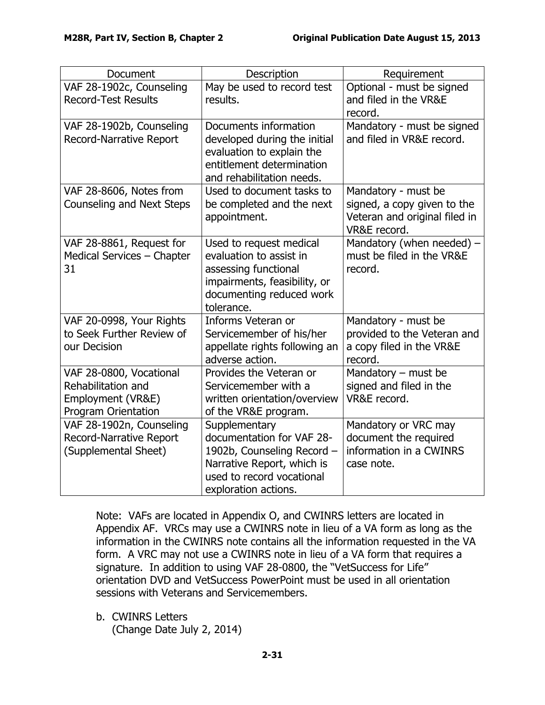| Document                                                                                         | Description                                                                                                                                                 | Requirement                                                                                         |
|--------------------------------------------------------------------------------------------------|-------------------------------------------------------------------------------------------------------------------------------------------------------------|-----------------------------------------------------------------------------------------------------|
| VAF 28-1902c, Counseling<br><b>Record-Test Results</b>                                           | May be used to record test<br>results.                                                                                                                      | Optional - must be signed<br>and filed in the VR&E<br>record.                                       |
| VAF 28-1902b, Counseling<br><b>Record-Narrative Report</b>                                       | Documents information<br>developed during the initial<br>evaluation to explain the<br>entitlement determination<br>and rehabilitation needs.                | Mandatory - must be signed<br>and filed in VR&E record.                                             |
| VAF 28-8606, Notes from<br><b>Counseling and Next Steps</b>                                      | Used to document tasks to<br>be completed and the next<br>appointment.                                                                                      | Mandatory - must be<br>signed, a copy given to the<br>Veteran and original filed in<br>VR&E record. |
| VAF 28-8861, Request for<br>Medical Services - Chapter<br>31                                     | Used to request medical<br>evaluation to assist in<br>assessing functional<br>impairments, feasibility, or<br>documenting reduced work<br>tolerance.        | Mandatory (when needed) -<br>must be filed in the VR&E<br>record.                                   |
| VAF 20-0998, Your Rights<br>to Seek Further Review of<br>our Decision                            | Informs Veteran or<br>Servicemember of his/her<br>appellate rights following an<br>adverse action.                                                          | Mandatory - must be<br>provided to the Veteran and<br>a copy filed in the VR&E<br>record.           |
| VAF 28-0800, Vocational<br>Rehabilitation and<br>Employment (VR&E)<br><b>Program Orientation</b> | Provides the Veteran or<br>Servicemember with a<br>written orientation/overview<br>of the VR&E program.                                                     | Mandatory $-$ must be<br>signed and filed in the<br>VR&E record.                                    |
| VAF 28-1902n, Counseling<br><b>Record-Narrative Report</b><br>(Supplemental Sheet)               | Supplementary<br>documentation for VAF 28-<br>1902b, Counseling Record -<br>Narrative Report, which is<br>used to record vocational<br>exploration actions. | Mandatory or VRC may<br>document the required<br>information in a CWINRS<br>case note.              |

Note: VAFs are located in Appendix O, and CWINRS letters are located in Appendix AF. VRCs may use a CWINRS note in lieu of a VA form as long as the information in the CWINRS note contains all the information requested in the VA form. A VRC may not use a CWINRS note in lieu of a VA form that requires a signature. In addition to using VAF 28-0800, the "VetSuccess for Life" orientation DVD and VetSuccess PowerPoint must be used in all orientation sessions with Veterans and Servicemembers.

<span id="page-32-0"></span>b. CWINRS Letters (Change Date July 2, 2014)